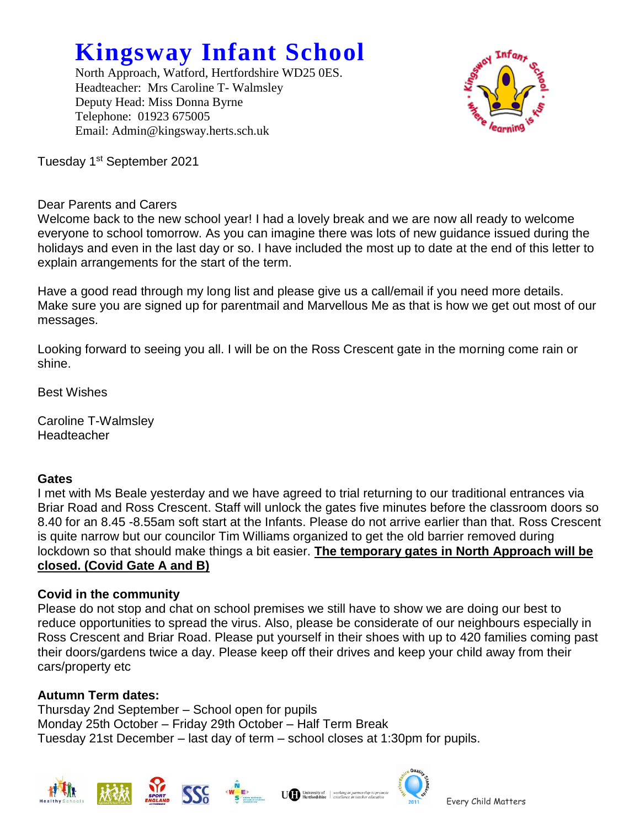# **Kingsway Infant School**

North Approach, Watford, Hertfordshire WD25 0ES. Headteacher: Mrs Caroline T- Walmsley Deputy Head: Miss Donna Byrne Telephone: 01923 675005 Email: Admin@kingsway.herts.sch.uk



Tuesday 1st September 2021

# Dear Parents and Carers

Welcome back to the new school year! I had a lovely break and we are now all ready to welcome everyone to school tomorrow. As you can imagine there was lots of new guidance issued during the holidays and even in the last day or so. I have included the most up to date at the end of this letter to explain arrangements for the start of the term.

Have a good read through my long list and please give us a call/email if you need more details. Make sure you are signed up for parentmail and Marvellous Me as that is how we get out most of our messages.

Looking forward to seeing you all. I will be on the Ross Crescent gate in the morning come rain or shine.

Best Wishes

Caroline T-Walmsley **Headteacher** 

# **Gates**

I met with Ms Beale yesterday and we have agreed to trial returning to our traditional entrances via Briar Road and Ross Crescent. Staff will unlock the gates five minutes before the classroom doors so 8.40 for an 8.45 -8.55am soft start at the Infants. Please do not arrive earlier than that. Ross Crescent is quite narrow but our councilor Tim Williams organized to get the old barrier removed during lockdown so that should make things a bit easier. **The temporary gates in North Approach will be closed. (Covid Gate A and B)**

# **Covid in the community**

Please do not stop and chat on school premises we still have to show we are doing our best to reduce opportunities to spread the virus. Also, please be considerate of our neighbours especially in Ross Crescent and Briar Road. Please put yourself in their shoes with up to 420 families coming past their doors/gardens twice a day. Please keep off their drives and keep your child away from their cars/property etc

# **Autumn Term dates:**

Thursday 2nd September – School open for pupils Monday 25th October – Friday 29th October – Half Term Break Tuesday 21st December – last day of term – school closes at 1:30pm for pupils.







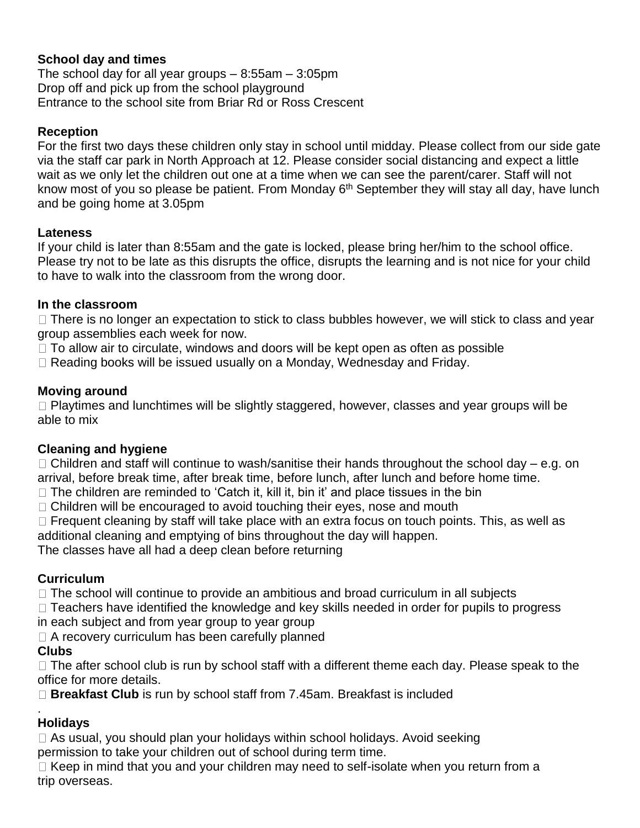# **School day and times**

The school day for all year groups  $-8:55$ am  $-3:05$ pm Drop off and pick up from the school playground Entrance to the school site from Briar Rd or Ross Crescent

#### **Reception**

For the first two days these children only stay in school until midday. Please collect from our side gate via the staff car park in North Approach at 12. Please consider social distancing and expect a little wait as we only let the children out one at a time when we can see the parent/carer. Staff will not know most of you so please be patient. From Monday  $6<sup>th</sup>$  September they will stay all day, have lunch and be going home at 3.05pm

#### **Lateness**

If your child is later than 8:55am and the gate is locked, please bring her/him to the school office. Please try not to be late as this disrupts the office, disrupts the learning and is not nice for your child to have to walk into the classroom from the wrong door.

#### **In the classroom**

 $\Box$  There is no longer an expectation to stick to class bubbles however, we will stick to class and year group assemblies each week for now.

 $\Box$  To allow air to circulate, windows and doors will be kept open as often as possible

□ Reading books will be issued usually on a Monday, Wednesday and Friday.

#### **Moving around**

 $\Box$  Playtimes and lunchtimes will be slightly staggered, however, classes and year groups will be able to mix

# **Cleaning and hygiene**

 $\Box$  Children and staff will continue to wash/sanitise their hands throughout the school day – e.g. on arrival, before break time, after break time, before lunch, after lunch and before home time.

- $\Box$  The children are reminded to 'Catch it, kill it, bin it' and place tissues in the bin
- $\Box$  Children will be encouraged to avoid touching their eves, nose and mouth

 $\Box$  Frequent cleaning by staff will take place with an extra focus on touch points. This, as well as additional cleaning and emptying of bins throughout the day will happen.

The classes have all had a deep clean before returning

# **Curriculum**

 $\Box$  The school will continue to provide an ambitious and broad curriculum in all subjects

 $\Box$  Teachers have identified the knowledge and key skills needed in order for pupils to progress

in each subject and from year group to year group

 $\Box$  A recovery curriculum has been carefully planned

# **Clubs**

 $\Box$  The after school club is run by school staff with a different theme each day. Please speak to the office for more details.

**Breakfast Club** is run by school staff from 7.45am. Breakfast is included

#### . **Holidays**

 $\Box$  As usual, you should plan your holidays within school holidays. Avoid seeking permission to take your children out of school during term time.

 $\Box$  Keep in mind that you and your children may need to self-isolate when you return from a trip overseas.